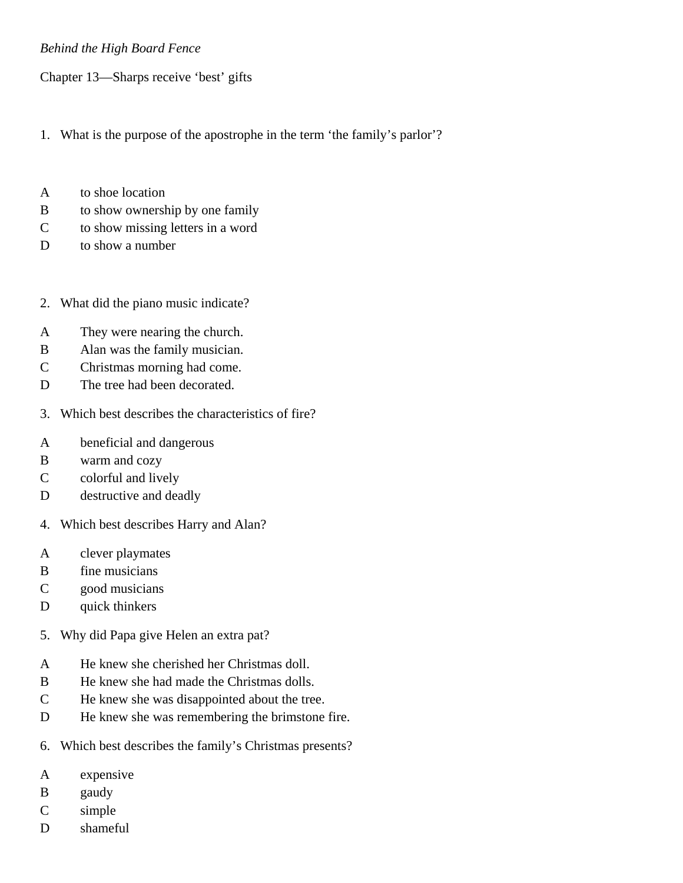## *Behind the High Board Fence*

Chapter 13—Sharps receive 'best' gifts

- 1. What is the purpose of the apostrophe in the term 'the family's parlor'?
- A to shoe location
- B to show ownership by one family
- C to show missing letters in a word
- D to show a number
- 2. What did the piano music indicate?
- A They were nearing the church.
- B Alan was the family musician.
- C Christmas morning had come.
- D The tree had been decorated.
- 3. Which best describes the characteristics of fire?
- A beneficial and dangerous
- B warm and cozy
- C colorful and lively
- D destructive and deadly
- 4. Which best describes Harry and Alan?
- A clever playmates
- B fine musicians
- C good musicians
- D quick thinkers
- 5. Why did Papa give Helen an extra pat?
- A He knew she cherished her Christmas doll.
- B He knew she had made the Christmas dolls.
- C He knew she was disappointed about the tree.
- D He knew she was remembering the brimstone fire.
- 6. Which best describes the family's Christmas presents?
- A expensive
- B gaudy
- C simple
- D shameful